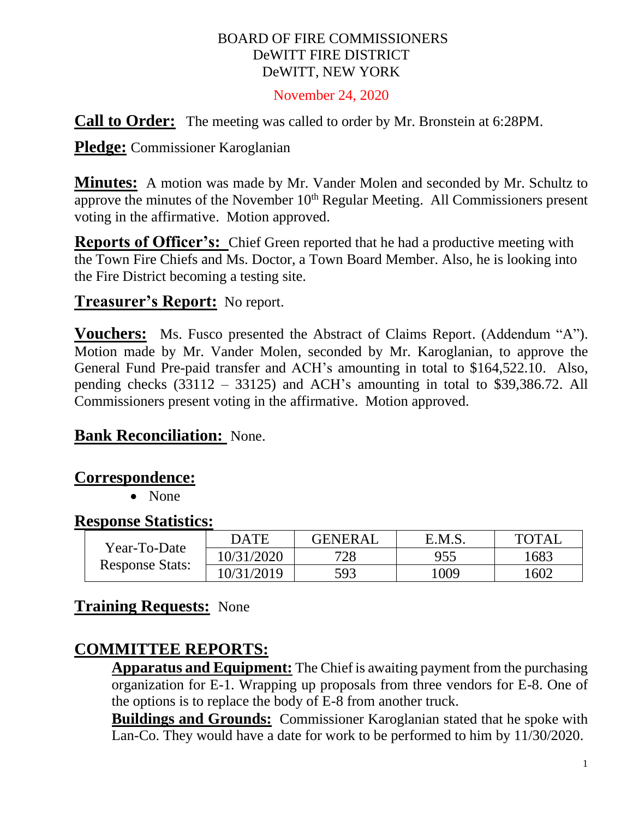#### BOARD OF FIRE COMMISSIONERS DeWITT FIRE DISTRICT DeWITT, NEW YORK

#### November 24, 2020

**Call to Order:** The meeting was called to order by Mr. Bronstein at 6:28PM.

**Pledge:** Commissioner Karoglanian

**Minutes:** A motion was made by Mr. Vander Molen and seconded by Mr. Schultz to approve the minutes of the November  $10<sup>th</sup>$  Regular Meeting. All Commissioners present voting in the affirmative. Motion approved.

**Reports of Officer's:** Chief Green reported that he had a productive meeting with the Town Fire Chiefs and Ms. Doctor, a Town Board Member. Also, he is looking into the Fire District becoming a testing site.

# **Treasurer's Report:** No report.

**Vouchers:** Ms. Fusco presented the Abstract of Claims Report. (Addendum "A"). Motion made by Mr. Vander Molen, seconded by Mr. Karoglanian, to approve the General Fund Pre-paid transfer and ACH's amounting in total to \$164,522.10. Also, pending checks (33112 – 33125) and ACH's amounting in total to \$39,386.72. All Commissioners present voting in the affirmative. Motion approved.

### **Bank Reconciliation:** None.

#### **Correspondence:**

• None

#### **Response Statistics:**

| Year-To-Date<br><b>Response Stats:</b> | <b>DATE</b> | <b>GENERAL</b> | E.M.S. | <b>TOTAL</b> |
|----------------------------------------|-------------|----------------|--------|--------------|
|                                        | 10/31/2020  | 728            | 955    | 1683         |
|                                        | 10/31/2019  | 593            | 1009   | 1602         |

### **Training Requests:** None

# **COMMITTEE REPORTS:**

**Apparatus and Equipment:** The Chief is awaiting payment from the purchasing organization for E-1. Wrapping up proposals from three vendors for E-8. One of the options is to replace the body of E-8 from another truck.

**Buildings and Grounds:** Commissioner Karoglanian stated that he spoke with Lan-Co. They would have a date for work to be performed to him by 11/30/2020.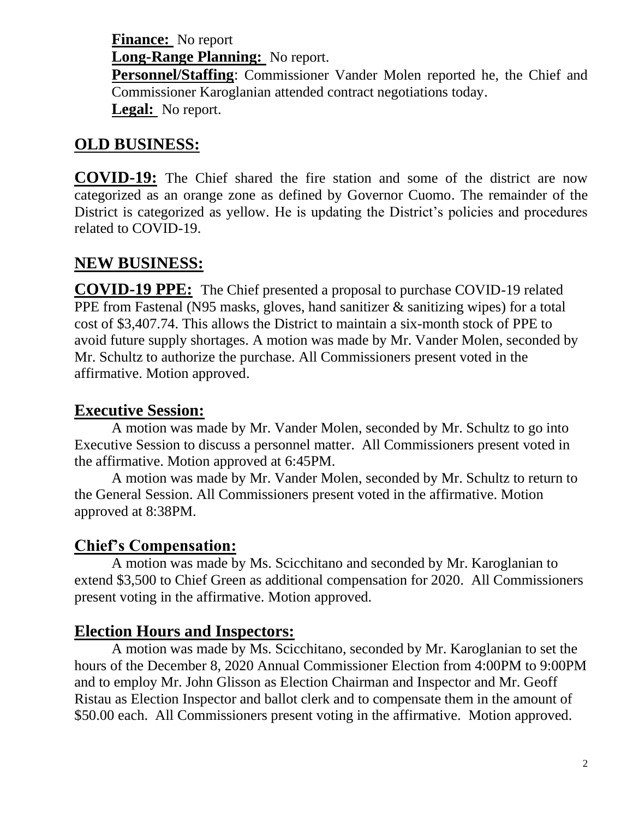**Finance:** No report **Long-Range Planning:** No report.

**Personnel/Staffing**: Commissioner Vander Molen reported he, the Chief and Commissioner Karoglanian attended contract negotiations today. **Legal:** No report.

# **OLD BUSINESS:**

**COVID-19:** The Chief shared the fire station and some of the district are now categorized as an orange zone as defined by Governor Cuomo. The remainder of the District is categorized as yellow. He is updating the District's policies and procedures related to COVID-19.

### **NEW BUSINESS:**

**COVID-19 PPE:** The Chief presented a proposal to purchase COVID-19 related PPE from Fastenal (N95 masks, gloves, hand sanitizer & sanitizing wipes) for a total cost of \$3,407.74. This allows the District to maintain a six-month stock of PPE to avoid future supply shortages. A motion was made by Mr. Vander Molen, seconded by Mr. Schultz to authorize the purchase. All Commissioners present voted in the affirmative. Motion approved.

### **Executive Session:**

A motion was made by Mr. Vander Molen, seconded by Mr. Schultz to go into Executive Session to discuss a personnel matter. All Commissioners present voted in the affirmative. Motion approved at 6:45PM.

A motion was made by Mr. Vander Molen, seconded by Mr. Schultz to return to the General Session. All Commissioners present voted in the affirmative. Motion approved at 8:38PM.

# **Chief's Compensation:**

A motion was made by Ms. Scicchitano and seconded by Mr. Karoglanian to extend \$3,500 to Chief Green as additional compensation for 2020. All Commissioners present voting in the affirmative. Motion approved.

# **Election Hours and Inspectors:**

A motion was made by Ms. Scicchitano, seconded by Mr. Karoglanian to set the hours of the December 8, 2020 Annual Commissioner Election from 4:00PM to 9:00PM and to employ Mr. John Glisson as Election Chairman and Inspector and Mr. Geoff Ristau as Election Inspector and ballot clerk and to compensate them in the amount of \$50.00 each. All Commissioners present voting in the affirmative. Motion approved.